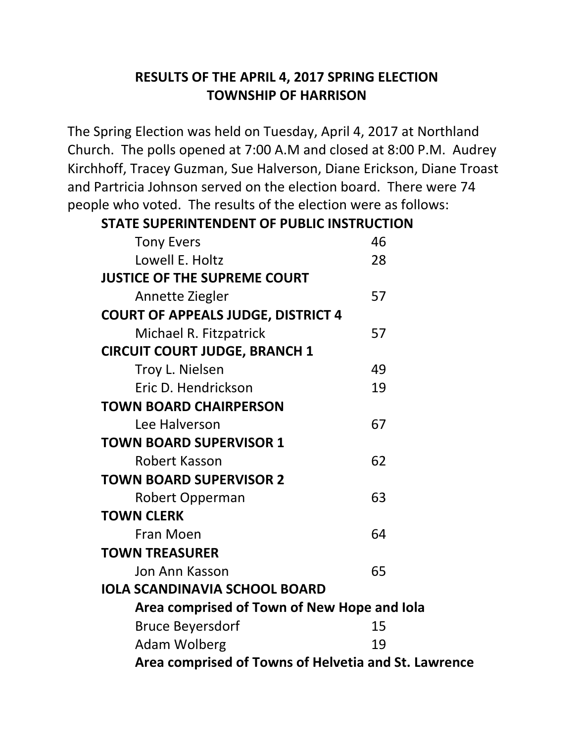## **RESULTS OF THE APRIL 4, 2017 SPRING ELECTION TOWNSHIP OF HARRISON**

The Spring Election was held on Tuesday, April 4, 2017 at Northland Church. The polls opened at 7:00 A.M and closed at 8:00 P.M. Audrey Kirchhoff, Tracey Guzman, Sue Halverson, Diane Erickson, Diane Troast and Partricia Johnson served on the election board. There were 74 people who voted. The results of the election were as follows:

## **STATE SUPERINTENDENT OF PUBLIC INSTRUCTION**

| <b>Tony Evers</b>                                    | 46 |  |
|------------------------------------------------------|----|--|
| Lowell E. Holtz                                      | 28 |  |
| <b>JUSTICE OF THE SUPREME COURT</b>                  |    |  |
| Annette Ziegler                                      | 57 |  |
| <b>COURT OF APPEALS JUDGE, DISTRICT 4</b>            |    |  |
| Michael R. Fitzpatrick                               | 57 |  |
| <b>CIRCUIT COURT JUDGE, BRANCH 1</b>                 |    |  |
| Troy L. Nielsen                                      | 49 |  |
| Eric D. Hendrickson                                  | 19 |  |
| <b>TOWN BOARD CHAIRPERSON</b>                        |    |  |
| Lee Halverson                                        | 67 |  |
| <b>TOWN BOARD SUPERVISOR 1</b>                       |    |  |
| Robert Kasson                                        | 62 |  |
| <b>TOWN BOARD SUPERVISOR 2</b>                       |    |  |
| Robert Opperman                                      | 63 |  |
| <b>TOWN CLERK</b>                                    |    |  |
| Fran Moen                                            | 64 |  |
| <b>TOWN TREASURER</b>                                |    |  |
| Jon Ann Kasson                                       | 65 |  |
| <b>IOLA SCANDINAVIA SCHOOL BOARD</b>                 |    |  |
| Area comprised of Town of New Hope and Iola          |    |  |
| <b>Bruce Beyersdorf</b>                              | 15 |  |
| <b>Adam Wolberg</b>                                  | 19 |  |
| Area comprised of Towns of Helvetia and St. Lawrence |    |  |
|                                                      |    |  |